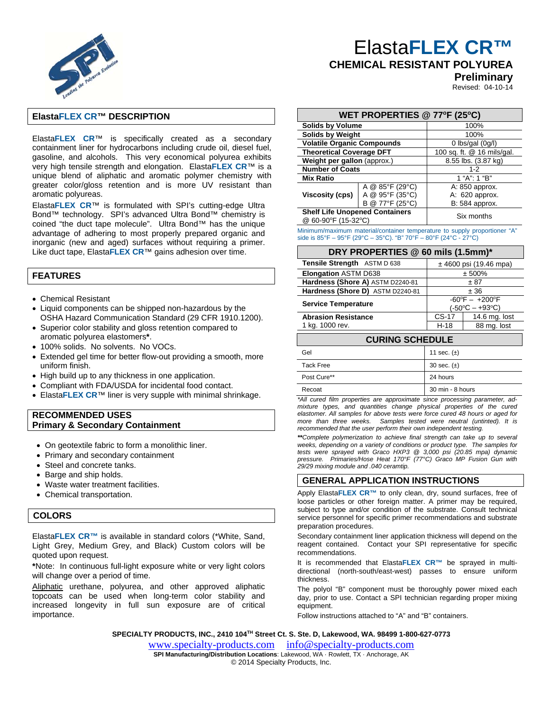

# Elasta**FLEX CR™**

# **CHEMICAL RESISTANT POLYUREA**

**Preliminary**

Revised: 04-10-14

## **ElastaFLEX CR™ DESCRIPTION**

Elasta**FLEX CR**™ is specifically created as a secondary containment liner for hydrocarbons including crude oil, diesel fuel, gasoline, and alcohols. This very economical polyurea exhibits very high tensile strength and elongation. Elasta**FLEX CR**™ is a unique blend of aliphatic and aromatic polymer chemistry with greater color/gloss retention and is more UV resistant than aromatic polyureas.

Elasta**FLEX CR**™ is formulated with SPI's cutting-edge Ultra Bond™ technology. SPI's advanced Ultra Bond™ chemistry is coined "the duct tape molecule". Ultra Bond™ has the unique advantage of adhering to most properly prepared organic and inorganic (new and aged) surfaces without requiring a primer. Like duct tape, Elasta**FLEX CR**™ gains adhesion over time.

## **FEATURES**

- Chemical Resistant
- Liquid components can be shipped non-hazardous by the OSHA Hazard Communication Standard (29 CFR 1910.1200).
- Superior color stability and gloss retention compared to aromatic polyurea elastomers**\***.
- 100% solids. No solvents. No VOCs.
- Extended gel time for better flow-out providing a smooth, more uniform finish.
- High build up to any thickness in one application.
- Compliant with FDA/USDA for incidental food contact.
- Elasta**FLEX CR**™ liner is very supple with minimal shrinkage.

### **RECOMMENDED USES Primary & Secondary Containment**

- On geotextile fabric to form a monolithic liner.
- Primary and secondary containment
- Steel and concrete tanks.
- Barge and ship holds.
- Waste water treatment facilities.
- Chemical transportation.

# **COLORS**

Elasta**FLEX CR™** is available in standard colors (\*White, Sand, Light Grey, Medium Grey, and Black) Custom colors will be quoted upon request.

**\***Note: In continuous full-light exposure white or very light colors will change over a period of time.

Aliphatic urethane, polyurea, and other approved aliphatic topcoats can be used when long-term color stability and increased longevity in full sun exposure are of critical importance.

| WET PROPERTIES @ 77°F (25°C)                                 |                                |                            |  |
|--------------------------------------------------------------|--------------------------------|----------------------------|--|
| <b>Solids by Volume</b>                                      |                                | 100%                       |  |
| <b>Solids by Weight</b>                                      |                                | 100%                       |  |
| <b>Volatile Organic Compounds</b>                            |                                | 0 lbs/gal $(0g/l)$         |  |
| <b>Theoretical Coverage DFT</b>                              |                                | 100 sq. ft. @ 16 mils/gal. |  |
| Weight per gallon (approx.)                                  |                                | 8.55 lbs. (3.87 kg)        |  |
| <b>Number of Coats</b>                                       |                                | $1 - 2$                    |  |
| <b>Mix Ratio</b>                                             |                                | 1 "A": 1 "B"               |  |
|                                                              | A @ $85^{\circ}F(29^{\circ}C)$ | A: 850 approx.             |  |
| Viscosity (cps)                                              | A @ 95°F (35°C)                | A: 620 approx.             |  |
|                                                              | @ 77°F (25°C)<br>в             | B: 584 approx.             |  |
| <b>Shelf Life Unopened Containers</b><br>@ 60-90°F (15-32°C) |                                | Six months                 |  |

Minimum/maximum material/container temperature to supply proportioner "A" side is 85°F – 95°F (29°C – 35°C). "B" 70°F – 80°F (24°C - 27°C)

### **DRY PROPERTIES @ 60 mils (1.5mm)\***

| <b>Tensile Strength</b> ASTM D 638 | ± 4600 psi (19.46 mpa)                            |               |  |  |
|------------------------------------|---------------------------------------------------|---------------|--|--|
| <b>Elongation ASTM D638</b>        | ± 500%                                            |               |  |  |
| Hardness (Shore A) ASTM D2240-81   | ± 87                                              |               |  |  |
| Hardness (Shore D) ASTM D2240-81   | ± 36                                              |               |  |  |
| <b>Service Temperature</b>         | $-60^{\circ}F - +200^{\circ}F$<br>(-50°C – +93°C) |               |  |  |
| <b>Abrasion Resistance</b>         | $CS-17$                                           | 14.6 mg. lost |  |  |
| 1 kg. 1000 rev.                    | $H-18$                                            | 88 mg. lost   |  |  |
| <b>CURING SCHEDULE</b>             |                                                   |               |  |  |
| Gel                                | 11 sec. $(\pm)$                                   |               |  |  |
| <b>Tack Free</b>                   | 30 sec. $(\pm)$                                   |               |  |  |

*\*All cured film properties are approximate since processing parameter, admixture types, and quantities change physical properties of the cured*  Post Cure\*\* 24 hours Recoat 30 min - 8 hours

*elastomer. All samples for above tests were force cured 48 hours or aged for more than three weeks. Samples tested were neutral (untinted). It is recommended that the user perform their own independent testing.* 

*\*\*Complete polymerization to achieve final strength can take up to several weeks, depending on a variety of conditions or product type. The samples for tests were sprayed with Graco HXP3 @ 3,000 psi (20.85 mpa) dynamic pressure. Primaries/Hose Heat 170°F (77°C) Graco MP Fusion Gun with 29/29 mixing module and .040 ceramtip.* 

### **GENERAL APPLICATION INSTRUCTIONS**

Apply Elasta**FLEX CR™** to only clean, dry, sound surfaces, free of loose particles or other foreign matter. A primer may be required, subject to type and/or condition of the substrate. Consult technical service personnel for specific primer recommendations and substrate preparation procedures.

Secondary containment liner application thickness will depend on the reagent contained. Contact your SPI representative for specific recommendations.

It is recommended that Elasta**FLEX CR™** be sprayed in multidirectional (north-south/east-west) passes to ensure uniform thickness.

The polyol "B" component must be thoroughly power mixed each day, prior to use. Contact a SPI technician regarding proper mixing equipment.

Follow instructions attached to "A" and "B" containers.

**SPECIALTY PRODUCTS, INC., 2410 104TH Street Ct. S. Ste. D, Lakewood, WA. 98499 1-800-627-0773** 

www.specialty-products.cominfo@specialty-products.com

**SPI Manufacturing/Distribution Locations**: Lakewood, WA · Rowlett, TX · Anchorage, AK © 2014 Specialty Products, Inc.